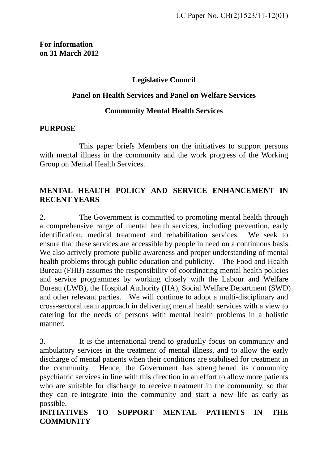### **Legislative Council**

#### **Panel on Health Services and Panel on Welfare Services**

#### **Community Mental Health Services**

#### **PURPOSE**

 This paper briefs Members on the initiatives to support persons with mental illness in the community and the work progress of the Working Group on Mental Health Services.

#### **MENTAL HEALTH POLICY AND SERVICE ENHANCEMENT IN RECENT YEARS**

2. The Government is committed to promoting mental health through a comprehensive range of mental health services, including prevention, early identification, medical treatment and rehabilitation services. We seek to ensure that these services are accessible by people in need on a continuous basis. We also actively promote public awareness and proper understanding of mental health problems through public education and publicity. The Food and Health Bureau (FHB) assumes the responsibility of coordinating mental health policies and service programmes by working closely with the Labour and Welfare Bureau (LWB), the Hospital Authority (HA), Social Welfare Department (SWD) and other relevant parties. We will continue to adopt a multi-disciplinary and cross-sectoral team approach in delivering mental health services with a view to catering for the needs of persons with mental health problems in a holistic manner.

3. It is the international trend to gradually focus on community and ambulatory services in the treatment of mental illness, and to allow the early discharge of mental patients when their conditions are stabilised for treatment in the community. Hence, the Government has strengthened its community psychiatric services in line with this direction in an effort to allow more patients who are suitable for discharge to receive treatment in the community, so that they can re-integrate into the community and start a new life as early as possible.

**INITIATIVES TO SUPPORT MENTAL PATIENTS IN THE COMMUNITY**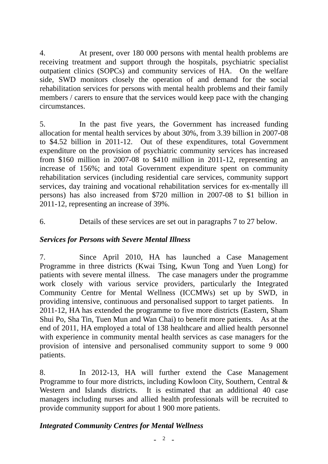4. At present, over 180 000 persons with mental health problems are receiving treatment and support through the hospitals, psychiatric specialist outpatient clinics (SOPCs) and community services of HA. On the welfare side, SWD monitors closely the operation of and demand for the social rehabilitation services for persons with mental health problems and their family members / carers to ensure that the services would keep pace with the changing circumstances.

5. In the past five years, the Government has increased funding allocation for mental health services by about 30%, from 3.39 billion in 2007-08 to \$4.52 billion in 2011-12. Out of these expenditures, total Government expenditure on the provision of psychiatric community services has increased from \$160 million in 2007-08 to \$410 million in 2011-12, representing an increase of 156%; and total Government expenditure spent on community rehabilitation services (including residential care services, community support services, day training and vocational rehabilitation services for ex-mentally ill persons) has also increased from \$720 million in 2007-08 to \$1 billion in 2011-12, representing an increase of 39%.

6. Details of these services are set out in paragraphs 7 to 27 below.

#### *Services for Persons with Severe Mental Illness*

7. Since April 2010, HA has launched a Case Management Programme in three districts (Kwai Tsing, Kwun Tong and Yuen Long) for patients with severe mental illness. The case managers under the programme work closely with various service providers, particularly the Integrated Community Centre for Mental Wellness (ICCMWs) set up by SWD, in providing intensive, continuous and personalised support to target patients. In 2011-12, HA has extended the programme to five more districts (Eastern, Sham Shui Po, Sha Tin, Tuen Mun and Wan Chai) to benefit more patients. As at the end of 2011, HA employed a total of 138 healthcare and allied health personnel with experience in community mental health services as case managers for the provision of intensive and personalised community support to some 9 000 patients.

8. In 2012-13, HA will further extend the Case Management Programme to four more districts, including Kowloon City, Southern, Central & Western and Islands districts. It is estimated that an additional 40 case managers including nurses and allied health professionals will be recruited to provide community support for about 1 900 more patients.

#### *Integrated Community Centres for Mental Wellness*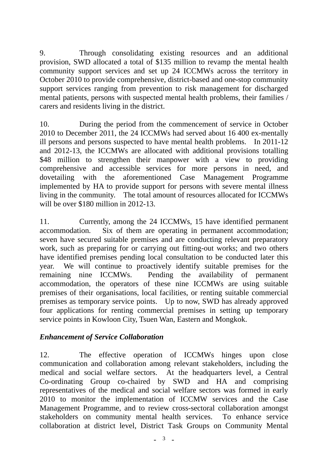9. Through consolidating existing resources and an additional provision, SWD allocated a total of \$135 million to revamp the mental health community support services and set up 24 ICCMWs across the territory in October 2010 to provide comprehensive, district-based and one-stop community support services ranging from prevention to risk management for discharged mental patients, persons with suspected mental health problems, their families / carers and residents living in the district.

10. During the period from the commencement of service in October 2010 to December 2011, the 24 ICCMWs had served about 16 400 ex-mentally ill persons and persons suspected to have mental health problems. In 2011-12 and 2012-13, the ICCMWs are allocated with additional provisions totalling \$48 million to strengthen their manpower with a view to providing comprehensive and accessible services for more persons in need, and dovetailing with the aforementioned Case Management Programme implemented by HA to provide support for persons with severe mental illness living in the community. The total amount of resources allocated for ICCMWs will be over \$180 million in 2012-13.

11. Currently, among the 24 ICCMWs, 15 have identified permanent accommodation. Six of them are operating in permanent accommodation; seven have secured suitable premises and are conducting relevant preparatory work, such as preparing for or carrying out fitting-out works; and two others have identified premises pending local consultation to be conducted later this year. We will continue to proactively identify suitable premises for the remaining nine ICCMWs. Pending the availability of permanent accommodation, the operators of these nine ICCMWs are using suitable premises of their organisations, local facilities, or renting suitable commercial premises as temporary service points. Up to now, SWD has already approved four applications for renting commercial premises in setting up temporary service points in Kowloon City, Tsuen Wan, Eastern and Mongkok.

## *Enhancement of Service Collaboration*

12. The effective operation of ICCMWs hinges upon close communication and collaboration among relevant stakeholders, including the medical and social welfare sectors. At the headquarters level, a Central Co-ordinating Group co-chaired by SWD and HA and comprising representatives of the medical and social welfare sectors was formed in early 2010 to monitor the implementation of ICCMW services and the Case Management Programme, and to review cross-sectoral collaboration amongst stakeholders on community mental health services. To enhance service collaboration at district level, District Task Groups on Community Mental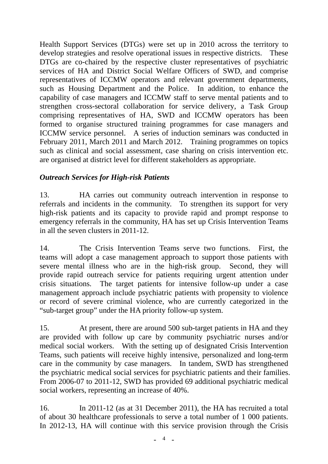Health Support Services (DTGs) were set up in 2010 across the territory to develop strategies and resolve operational issues in respective districts. These DTGs are co-chaired by the respective cluster representatives of psychiatric services of HA and District Social Welfare Officers of SWD, and comprise representatives of ICCMW operators and relevant government departments, such as Housing Department and the Police. In addition, to enhance the capability of case managers and ICCMW staff to serve mental patients and to strengthen cross-sectoral collaboration for service delivery, a Task Group comprising representatives of HA, SWD and ICCMW operators has been formed to organise structured training programmes for case managers and ICCMW service personnel. A series of induction seminars was conducted in February 2011, March 2011 and March 2012. Training programmes on topics such as clinical and social assessment, case sharing on crisis intervention etc. are organised at district level for different stakeholders as appropriate.

# *Outreach Services for High-risk Patients*

13. HA carries out community outreach intervention in response to referrals and incidents in the community. To strengthen its support for very high-risk patients and its capacity to provide rapid and prompt response to emergency referrals in the community, HA has set up Crisis Intervention Teams in all the seven clusters in 2011-12.

14. The Crisis Intervention Teams serve two functions. First, the teams will adopt a case management approach to support those patients with severe mental illness who are in the high-risk group. Second, they will provide rapid outreach service for patients requiring urgent attention under crisis situations. The target patients for intensive follow-up under a case management approach include psychiatric patients with propensity to violence or record of severe criminal violence, who are currently categorized in the "sub-target group" under the HA priority follow-up system.

15. At present, there are around 500 sub-target patients in HA and they are provided with follow up care by community psychiatric nurses and/or medical social workers. With the setting up of designated Crisis Intervention Teams, such patients will receive highly intensive, personalized and long-term care in the community by case managers. In tandem, SWD has strengthened the psychiatric medical social services for psychiatric patients and their families. From 2006-07 to 2011-12, SWD has provided 69 additional psychiatric medical social workers, representing an increase of 40%.

16. In 2011-12 (as at 31 December 2011), the HA has recruited a total of about 30 healthcare professionals to serve a total number of 1 000 patients. In 2012-13, HA will continue with this service provision through the Crisis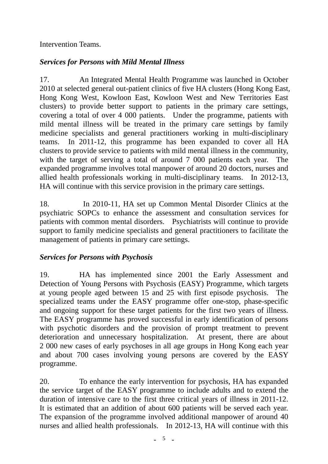### Intervention Teams.

## *Services for Persons with Mild Mental Illness*

17. An Integrated Mental Health Programme was launched in October 2010 at selected general out-patient clinics of five HA clusters (Hong Kong East, Hong Kong West, Kowloon East, Kowloon West and New Territories East clusters) to provide better support to patients in the primary care settings, covering a total of over 4 000 patients. Under the programme, patients with mild mental illness will be treated in the primary care settings by family medicine specialists and general practitioners working in multi-disciplinary teams. In 2011-12, this programme has been expanded to cover all HA clusters to provide service to patients with mild mental illness in the community, with the target of serving a total of around 7 000 patients each year. The expanded programme involves total manpower of around 20 doctors, nurses and allied health professionals working in multi-disciplinary teams. In 2012-13, HA will continue with this service provision in the primary care settings.

18. In 2010-11, HA set up Common Mental Disorder Clinics at the psychiatric SOPCs to enhance the assessment and consultation services for patients with common mental disorders. Psychiatrists will continue to provide support to family medicine specialists and general practitioners to facilitate the management of patients in primary care settings.

## *Services for Persons with Psychosis*

19. HA has implemented since 2001 the Early Assessment and Detection of Young Persons with Psychosis (EASY) Programme, which targets at young people aged between 15 and 25 with first episode psychosis. The specialized teams under the EASY programme offer one-stop, phase-specific and ongoing support for these target patients for the first two years of illness. The EASY programme has proved successful in early identification of persons with psychotic disorders and the provision of prompt treatment to prevent deterioration and unnecessary hospitalization. At present, there are about 2 000 new cases of early psychoses in all age groups in Hong Kong each year and about 700 cases involving young persons are covered by the EASY programme.

20. To enhance the early intervention for psychosis, HA has expanded the service target of the EASY programme to include adults and to extend the duration of intensive care to the first three critical years of illness in 2011-12. It is estimated that an addition of about 600 patients will be served each year. The expansion of the programme involved additional manpower of around 40 nurses and allied health professionals. In 2012-13, HA will continue with this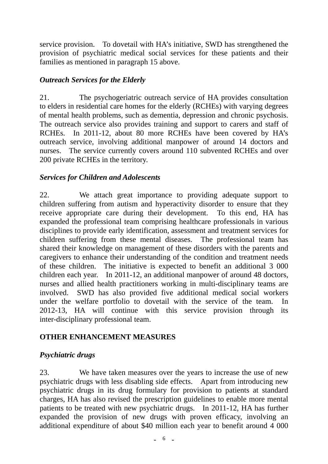service provision. To dovetail with HA's initiative, SWD has strengthened the provision of psychiatric medical social services for these patients and their families as mentioned in paragraph 15 above.

# *Outreach Services for the Elderly*

21. The psychogeriatric outreach service of HA provides consultation to elders in residential care homes for the elderly (RCHEs) with varying degrees of mental health problems, such as dementia, depression and chronic psychosis. The outreach service also provides training and support to carers and staff of RCHEs. In 2011-12, about 80 more RCHEs have been covered by HA's outreach service, involving additional manpower of around 14 doctors and nurses. The service currently covers around 110 subvented RCHEs and over 200 private RCHEs in the territory.

#### *Services for Children and Adolescents*

22. We attach great importance to providing adequate support to children suffering from autism and hyperactivity disorder to ensure that they receive appropriate care during their development. To this end, HA has expanded the professional team comprising healthcare professionals in various disciplines to provide early identification, assessment and treatment services for children suffering from these mental diseases. The professional team has shared their knowledge on management of these disorders with the parents and caregivers to enhance their understanding of the condition and treatment needs of these children. The initiative is expected to benefit an additional 3 000 children each year. In 2011-12, an additional manpower of around 48 doctors, nurses and allied health practitioners working in multi-disciplinary teams are involved. SWD has also provided five additional medical social workers under the welfare portfolio to dovetail with the service of the team. In 2012-13, HA will continue with this service provision through its inter-disciplinary professional team.

## **OTHER ENHANCEMENT MEASURES**

## *Psychiatric drugs*

23. We have taken measures over the years to increase the use of new psychiatric drugs with less disabling side effects. Apart from introducing new psychiatric drugs in its drug formulary for provision to patients at standard charges, HA has also revised the prescription guidelines to enable more mental patients to be treated with new psychiatric drugs. In 2011-12, HA has further expanded the provision of new drugs with proven efficacy, involving an additional expenditure of about \$40 million each year to benefit around 4 000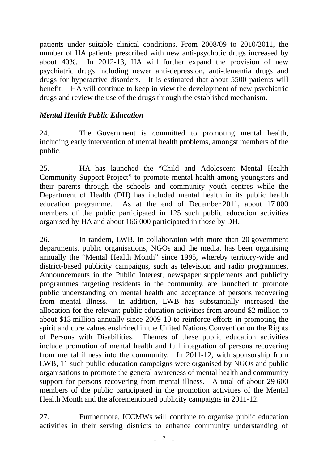patients under suitable clinical conditions. From 2008/09 to 2010/2011, the number of HA patients prescribed with new anti-psychotic drugs increased by about 40%. In 2012-13, HA will further expand the provision of new psychiatric drugs including newer anti-depression, anti-dementia drugs and drugs for hyperactive disorders. It is estimated that about 5500 patients will benefit. HA will continue to keep in view the development of new psychiatric drugs and review the use of the drugs through the established mechanism.

## *Mental Health Public Education*

24. The Government is committed to promoting mental health, including early intervention of mental health problems, amongst members of the public.

25. HA has launched the "Child and Adolescent Mental Health Community Support Project" to promote mental health among youngsters and their parents through the schools and community youth centres while the Department of Health (DH) has included mental health in its public health education programme. As at the end of December 2011, about 17 000 members of the public participated in 125 such public education activities organised by HA and about 166 000 participated in those by DH.

26. In tandem, LWB, in collaboration with more than 20 government departments, public organisations, NGOs and the media, has been organising annually the "Mental Health Month" since 1995, whereby territory-wide and district-based publicity campaigns, such as television and radio programmes, Announcements in the Public Interest, newspaper supplements and publicity programmes targeting residents in the community, are launched to promote public understanding on mental health and acceptance of persons recovering from mental illness. In addition, LWB has substantially increased the allocation for the relevant public education activities from around \$2 million to about \$13 million annually since 2009-10 to reinforce efforts in promoting the spirit and core values enshrined in the United Nations Convention on the Rights of Persons with Disabilities. Themes of these public education activities include promotion of mental health and full integration of persons recovering from mental illness into the community. In 2011-12, with sponsorship from LWB, 11 such public education campaigns were organised by NGOs and public organisations to promote the general awareness of mental health and community support for persons recovering from mental illness. A total of about 29 600 members of the public participated in the promotion activities of the Mental Health Month and the aforementioned publicity campaigns in 2011-12.

27. Furthermore, ICCMWs will continue to organise public education activities in their serving districts to enhance community understanding of